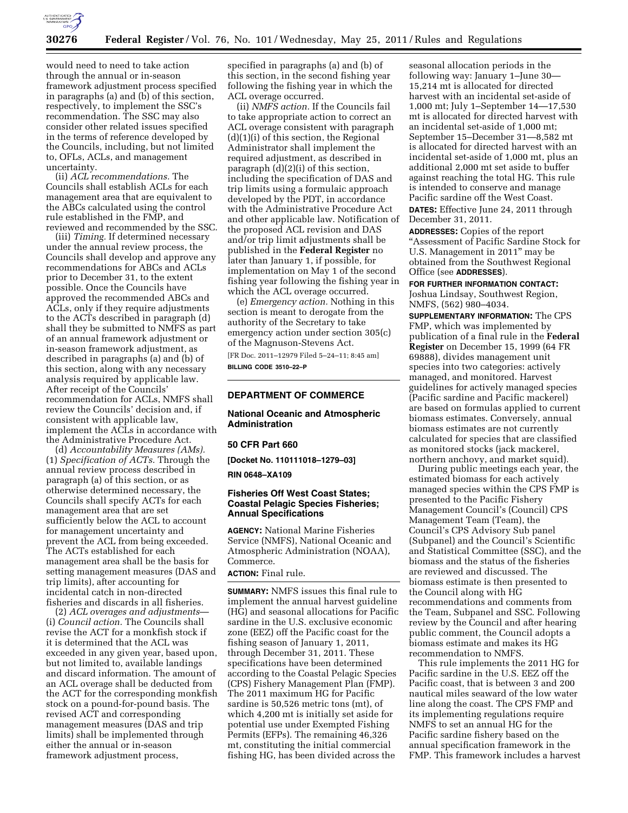

would need to need to take action through the annual or in-season framework adjustment process specified in paragraphs (a) and (b) of this section, respectively, to implement the SSC's recommendation. The SSC may also consider other related issues specified in the terms of reference developed by the Councils, including, but not limited to, OFLs, ACLs, and management uncertainty.

(ii) *ACL recommendations.* The Councils shall establish ACLs for each management area that are equivalent to the ABCs calculated using the control rule established in the FMP, and reviewed and recommended by the SSC.

(iii) *Timing.* If determined necessary under the annual review process, the Councils shall develop and approve any recommendations for ABCs and ACLs prior to December 31, to the extent possible. Once the Councils have approved the recommended ABCs and ACLs, only if they require adjustments to the ACTs described in paragraph (d) shall they be submitted to NMFS as part of an annual framework adjustment or in-season framework adjustment, as described in paragraphs (a) and (b) of this section, along with any necessary analysis required by applicable law. After receipt of the Councils' recommendation for ACLs, NMFS shall review the Councils' decision and, if consistent with applicable law, implement the ACLs in accordance with the Administrative Procedure Act.

(d) *Accountability Measures (AMs).*  (1) *Specification of ACTs.* Through the annual review process described in paragraph (a) of this section, or as otherwise determined necessary, the Councils shall specify ACTs for each management area that are set sufficiently below the ACL to account for management uncertainty and prevent the ACL from being exceeded. The ACTs established for each management area shall be the basis for setting management measures (DAS and trip limits), after accounting for incidental catch in non-directed fisheries and discards in all fisheries.

(2) *ACL overages and adjustments*— (i) *Council action.* The Councils shall revise the ACT for a monkfish stock if it is determined that the ACL was exceeded in any given year, based upon, but not limited to, available landings and discard information. The amount of an ACL overage shall be deducted from the ACT for the corresponding monkfish stock on a pound-for-pound basis. The revised ACT and corresponding management measures (DAS and trip limits) shall be implemented through either the annual or in-season framework adjustment process,

specified in paragraphs (a) and (b) of this section, in the second fishing year following the fishing year in which the ACL overage occurred.

(ii) *NMFS action.* If the Councils fail to take appropriate action to correct an ACL overage consistent with paragraph  $(d)(1)(i)$  of this section, the Regional Administrator shall implement the required adjustment, as described in paragraph (d)(2)(i) of this section, including the specification of DAS and trip limits using a formulaic approach developed by the PDT, in accordance with the Administrative Procedure Act and other applicable law. Notification of the proposed ACL revision and DAS and/or trip limit adjustments shall be published in the **Federal Register** no later than January 1, if possible, for implementation on May 1 of the second fishing year following the fishing year in which the ACL overage occurred.

(e) *Emergency action.* Nothing in this section is meant to derogate from the authority of the Secretary to take emergency action under section 305(c) of the Magnuson-Stevens Act.

[FR Doc. 2011–12979 Filed 5–24–11; 8:45 am] **BILLING CODE 3510–22–P** 

# **DEPARTMENT OF COMMERCE**

**National Oceanic and Atmospheric Administration** 

## **50 CFR Part 660**

**[Docket No. 110111018–1279–03]** 

### **RIN 0648–XA109**

## **Fisheries Off West Coast States; Coastal Pelagic Species Fisheries; Annual Specifications**

**AGENCY:** National Marine Fisheries Service (NMFS), National Oceanic and Atmospheric Administration (NOAA), Commerce.

# **ACTION:** Final rule.

**SUMMARY:** NMFS issues this final rule to implement the annual harvest guideline (HG) and seasonal allocations for Pacific sardine in the U.S. exclusive economic zone (EEZ) off the Pacific coast for the fishing season of January 1, 2011, through December 31, 2011. These specifications have been determined according to the Coastal Pelagic Species (CPS) Fishery Management Plan (FMP). The 2011 maximum HG for Pacific sardine is 50,526 metric tons (mt), of which 4,200 mt is initially set aside for potential use under Exempted Fishing Permits (EFPs). The remaining 46,326 mt, constituting the initial commercial fishing HG, has been divided across the

seasonal allocation periods in the following way: January 1–June 30— 15,214 mt is allocated for directed harvest with an incidental set-aside of 1,000 mt; July 1–September 14—17,530 mt is allocated for directed harvest with an incidental set-aside of 1,000 mt; September 15–December 31—8,582 mt is allocated for directed harvest with an incidental set-aside of 1,000 mt, plus an additional 2,000 mt set aside to buffer against reaching the total HG. This rule is intended to conserve and manage Pacific sardine off the West Coast. **DATES:** Effective June 24, 2011 through December 31, 2011.

**ADDRESSES:** Copies of the report ''Assessment of Pacific Sardine Stock for U.S. Management in 2011'' may be obtained from the Southwest Regional Office (see **ADDRESSES**).

#### **FOR FURTHER INFORMATION CONTACT:**

Joshua Lindsay, Southwest Region, NMFS, (562) 980–4034.

**SUPPLEMENTARY INFORMATION:** The CPS FMP, which was implemented by publication of a final rule in the **Federal Register** on December 15, 1999 (64 FR 69888), divides management unit species into two categories: actively managed, and monitored. Harvest guidelines for actively managed species (Pacific sardine and Pacific mackerel) are based on formulas applied to current biomass estimates. Conversely, annual biomass estimates are not currently calculated for species that are classified as monitored stocks (jack mackerel, northern anchovy, and market squid).

During public meetings each year, the estimated biomass for each actively managed species within the CPS FMP is presented to the Pacific Fishery Management Council's (Council) CPS Management Team (Team), the Council's CPS Advisory Sub panel (Subpanel) and the Council's Scientific and Statistical Committee (SSC), and the biomass and the status of the fisheries are reviewed and discussed. The biomass estimate is then presented to the Council along with HG recommendations and comments from the Team, Subpanel and SSC. Following review by the Council and after hearing public comment, the Council adopts a biomass estimate and makes its HG recommendation to NMFS.

This rule implements the 2011 HG for Pacific sardine in the U.S. EEZ off the Pacific coast, that is between 3 and 200 nautical miles seaward of the low water line along the coast. The CPS FMP and its implementing regulations require NMFS to set an annual HG for the Pacific sardine fishery based on the annual specification framework in the FMP. This framework includes a harvest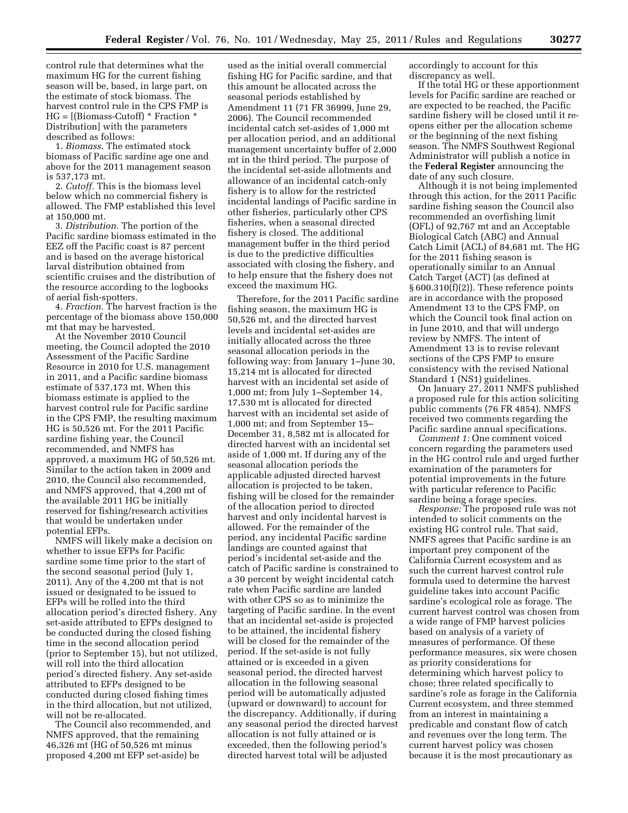control rule that determines what the maximum HG for the current fishing season will be, based, in large part, on the estimate of stock biomass. The harvest control rule in the CPS FMP is HG = [(Biomass-Cutoff) \* Fraction \* Distribution] with the parameters described as follows:

1. *Biomass.* The estimated stock biomass of Pacific sardine age one and above for the 2011 management season is 537,173 mt.

2. *Cutoff.* This is the biomass level below which no commercial fishery is allowed. The FMP established this level at 150,000 mt.

3. *Distribution.* The portion of the Pacific sardine biomass estimated in the EEZ off the Pacific coast is 87 percent and is based on the average historical larval distribution obtained from scientific cruises and the distribution of the resource according to the logbooks of aerial fish-spotters.

4. *Fraction.* The harvest fraction is the percentage of the biomass above 150,000 mt that may be harvested.

At the November 2010 Council meeting, the Council adopted the 2010 Assessment of the Pacific Sardine Resource in 2010 for U.S. management in 2011, and a Pacific sardine biomass estimate of 537,173 mt. When this biomass estimate is applied to the harvest control rule for Pacific sardine in the CPS FMP, the resulting maximum HG is 50,526 mt. For the 2011 Pacific sardine fishing year, the Council recommended, and NMFS has approved, a maximum HG of 50,526 mt. Similar to the action taken in 2009 and 2010, the Council also recommended, and NMFS approved, that 4,200 mt of the available 2011 HG be initially reserved for fishing/research activities that would be undertaken under potential EFPs.

NMFS will likely make a decision on whether to issue EFPs for Pacific sardine some time prior to the start of the second seasonal period (July 1, 2011). Any of the 4,200 mt that is not issued or designated to be issued to EFPs will be rolled into the third allocation period's directed fishery. Any set-aside attributed to EFPs designed to be conducted during the closed fishing time in the second allocation period (prior to September 15), but not utilized, will roll into the third allocation period's directed fishery. Any set-aside attributed to EFPs designed to be conducted during closed fishing times in the third allocation, but not utilized, will not be re-allocated.

The Council also recommended, and NMFS approved, that the remaining 46,326 mt (HG of 50,526 mt minus proposed 4,200 mt EFP set-aside) be

used as the initial overall commercial fishing HG for Pacific sardine, and that this amount be allocated across the seasonal periods established by Amendment 11 (71 FR 36999, June 29, 2006). The Council recommended incidental catch set-asides of 1,000 mt per allocation period, and an additional management uncertainty buffer of 2,000 mt in the third period. The purpose of the incidental set-aside allotments and allowance of an incidental catch-only fishery is to allow for the restricted incidental landings of Pacific sardine in other fisheries, particularly other CPS fisheries, when a seasonal directed fishery is closed. The additional management buffer in the third period is due to the predictive difficulties associated with closing the fishery, and to help ensure that the fishery does not exceed the maximum HG.

Therefore, for the 2011 Pacific sardine fishing season, the maximum HG is 50,526 mt, and the directed harvest levels and incidental set-asides are initially allocated across the three seasonal allocation periods in the following way: from January 1–June 30, 15,214 mt is allocated for directed harvest with an incidental set aside of 1,000 mt; from July 1–September 14, 17,530 mt is allocated for directed harvest with an incidental set aside of 1,000 mt; and from September 15– December 31, 8,582 mt is allocated for directed harvest with an incidental set aside of 1,000 mt. If during any of the seasonal allocation periods the applicable adjusted directed harvest allocation is projected to be taken, fishing will be closed for the remainder of the allocation period to directed harvest and only incidental harvest is allowed. For the remainder of the period, any incidental Pacific sardine landings are counted against that period's incidental set-aside and the catch of Pacific sardine is constrained to a 30 percent by weight incidental catch rate when Pacific sardine are landed with other CPS so as to minimize the targeting of Pacific sardine. In the event that an incidental set-aside is projected to be attained, the incidental fishery will be closed for the remainder of the period. If the set-aside is not fully attained or is exceeded in a given seasonal period, the directed harvest allocation in the following seasonal period will be automatically adjusted (upward or downward) to account for the discrepancy. Additionally, if during any seasonal period the directed harvest allocation is not fully attained or is exceeded, then the following period's directed harvest total will be adjusted

accordingly to account for this discrepancy as well.

If the total HG or these apportionment levels for Pacific sardine are reached or are expected to be reached, the Pacific sardine fishery will be closed until it reopens either per the allocation scheme or the beginning of the next fishing season. The NMFS Southwest Regional Administrator will publish a notice in the **Federal Register** announcing the date of any such closure.

Although it is not being implemented through this action, for the 2011 Pacific sardine fishing season the Council also recommended an overfishing limit (OFL) of 92,767 mt and an Acceptable Biological Catch (ABC) and Annual Catch Limit (ACL) of 84,681 mt. The HG for the 2011 fishing season is operationally similar to an Annual Catch Target (ACT) (as defined at § 600.310(f)(2)). These reference points are in accordance with the proposed Amendment 13 to the CPS FMP, on which the Council took final action on in June 2010, and that will undergo review by NMFS. The intent of Amendment 13 is to revise relevant sections of the CPS FMP to ensure consistency with the revised National Standard 1 (NS1) guidelines.

On January 27, 2011 NMFS published a proposed rule for this action soliciting public comments (76 FR 4854). NMFS received two comments regarding the Pacific sardine annual specifications.

*Comment 1:* One comment voiced concern regarding the parameters used in the HG control rule and urged further examination of the parameters for potential improvements in the future with particular reference to Pacific sardine being a forage species.

*Response:* The proposed rule was not intended to solicit comments on the existing HG control rule. That said, NMFS agrees that Pacific sardine is an important prey component of the California Current ecosystem and as such the current harvest control rule formula used to determine the harvest guideline takes into account Pacific sardine's ecological role as forage. The current harvest control was chosen from a wide range of FMP harvest policies based on analysis of a variety of measures of performance. Of these performance measures, six were chosen as priority considerations for determining which harvest policy to chose; three related specifically to sardine's role as forage in the California Current ecosystem, and three stemmed from an interest in maintaining a predicable and constant flow of catch and revenues over the long term. The current harvest policy was chosen because it is the most precautionary as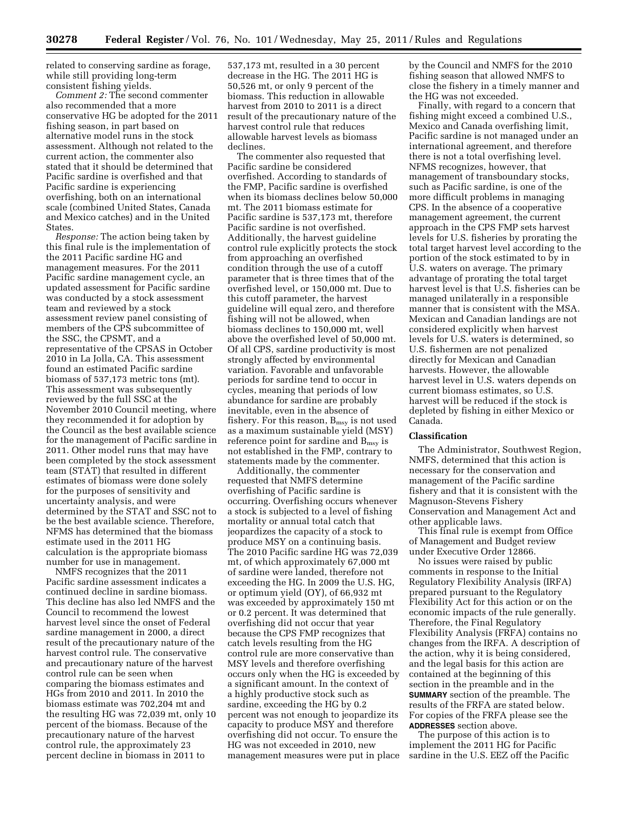related to conserving sardine as forage, while still providing long-term consistent fishing yields.

*Comment 2:* The second commenter also recommended that a more conservative HG be adopted for the 2011 fishing season, in part based on alternative model runs in the stock assessment. Although not related to the current action, the commenter also stated that it should be determined that Pacific sardine is overfished and that Pacific sardine is experiencing overfishing, both on an international scale (combined United States, Canada and Mexico catches) and in the United States.

*Response:* The action being taken by this final rule is the implementation of the 2011 Pacific sardine HG and management measures. For the 2011 Pacific sardine management cycle, an updated assessment for Pacific sardine was conducted by a stock assessment team and reviewed by a stock assessment review panel consisting of members of the CPS subcommittee of the SSC, the CPSMT, and a representative of the CPSAS in October 2010 in La Jolla, CA. This assessment found an estimated Pacific sardine biomass of 537,173 metric tons (mt). This assessment was subsequently reviewed by the full SSC at the November 2010 Council meeting, where they recommended it for adoption by the Council as the best available science for the management of Pacific sardine in 2011. Other model runs that may have been completed by the stock assessment team (STAT) that resulted in different estimates of biomass were done solely for the purposes of sensitivity and uncertainty analysis, and were determined by the STAT and SSC not to be the best available science. Therefore, NFMS has determined that the biomass estimate used in the 2011 HG calculation is the appropriate biomass number for use in management.

NMFS recognizes that the 2011 Pacific sardine assessment indicates a continued decline in sardine biomass. This decline has also led NMFS and the Council to recommend the lowest harvest level since the onset of Federal sardine management in 2000, a direct result of the precautionary nature of the harvest control rule. The conservative and precautionary nature of the harvest control rule can be seen when comparing the biomass estimates and HGs from 2010 and 2011. In 2010 the biomass estimate was 702,204 mt and the resulting HG was 72,039 mt, only 10 percent of the biomass. Because of the precautionary nature of the harvest control rule, the approximately 23 percent decline in biomass in 2011 to

537,173 mt, resulted in a 30 percent decrease in the HG. The 2011 HG is 50,526 mt, or only 9 percent of the biomass. This reduction in allowable harvest from 2010 to 2011 is a direct result of the precautionary nature of the harvest control rule that reduces allowable harvest levels as biomass declines.

The commenter also requested that Pacific sardine be considered overfished. According to standards of the FMP, Pacific sardine is overfished when its biomass declines below 50,000 mt. The 2011 biomass estimate for Pacific sardine is 537,173 mt, therefore Pacific sardine is not overfished. Additionally, the harvest guideline control rule explicitly protects the stock from approaching an overfished condition through the use of a cutoff parameter that is three times that of the overfished level, or 150,000 mt. Due to this cutoff parameter, the harvest guideline will equal zero, and therefore fishing will not be allowed, when biomass declines to 150,000 mt, well above the overfished level of 50,000 mt. Of all CPS, sardine productivity is most strongly affected by environmental variation. Favorable and unfavorable periods for sardine tend to occur in cycles, meaning that periods of low abundance for sardine are probably inevitable, even in the absence of fishery. For this reason,  $B_{\text{msy}}$  is not used as a maximum sustainable yield (MSY) reference point for sardine and B<sub>msy</sub> is not established in the FMP, contrary to statements made by the commenter.

Additionally, the commenter requested that NMFS determine overfishing of Pacific sardine is occurring. Overfishing occurs whenever a stock is subjected to a level of fishing mortality or annual total catch that jeopardizes the capacity of a stock to produce MSY on a continuing basis. The 2010 Pacific sardine HG was 72,039 mt, of which approximately 67,000 mt of sardine were landed, therefore not exceeding the HG. In 2009 the U.S. HG, or optimum yield (OY), of 66,932 mt was exceeded by approximately 150 mt or 0.2 percent. It was determined that overfishing did not occur that year because the CPS FMP recognizes that catch levels resulting from the HG control rule are more conservative than MSY levels and therefore overfishing occurs only when the HG is exceeded by a significant amount. In the context of a highly productive stock such as sardine, exceeding the HG by 0.2 percent was not enough to jeopardize its capacity to produce MSY and therefore overfishing did not occur. To ensure the HG was not exceeded in 2010, new management measures were put in place by the Council and NMFS for the 2010 fishing season that allowed NMFS to close the fishery in a timely manner and the HG was not exceeded.

Finally, with regard to a concern that fishing might exceed a combined U.S., Mexico and Canada overfishing limit, Pacific sardine is not managed under an international agreement, and therefore there is not a total overfishing level. NFMS recognizes, however, that management of transboundary stocks, such as Pacific sardine, is one of the more difficult problems in managing CPS. In the absence of a cooperative management agreement, the current approach in the CPS FMP sets harvest levels for U.S. fisheries by prorating the total target harvest level according to the portion of the stock estimated to by in U.S. waters on average. The primary advantage of prorating the total target harvest level is that U.S. fisheries can be managed unilaterally in a responsible manner that is consistent with the MSA. Mexican and Canadian landings are not considered explicitly when harvest levels for U.S. waters is determined, so U.S. fishermen are not penalized directly for Mexican and Canadian harvests. However, the allowable harvest level in U.S. waters depends on current biomass estimates, so U.S. harvest will be reduced if the stock is depleted by fishing in either Mexico or Canada.

## **Classification**

The Administrator, Southwest Region, NMFS, determined that this action is necessary for the conservation and management of the Pacific sardine fishery and that it is consistent with the Magnuson-Stevens Fishery Conservation and Management Act and other applicable laws.

This final rule is exempt from Office of Management and Budget review under Executive Order 12866.

No issues were raised by public comments in response to the Initial Regulatory Flexibility Analysis (IRFA) prepared pursuant to the Regulatory Flexibility Act for this action or on the economic impacts of the rule generally. Therefore, the Final Regulatory Flexibility Analysis (FRFA) contains no changes from the IRFA. A description of the action, why it is being considered, and the legal basis for this action are contained at the beginning of this section in the preamble and in the **SUMMARY** section of the preamble. The results of the FRFA are stated below. For copies of the FRFA please see the **ADDRESSES** section above.

The purpose of this action is to implement the 2011 HG for Pacific sardine in the U.S. EEZ off the Pacific